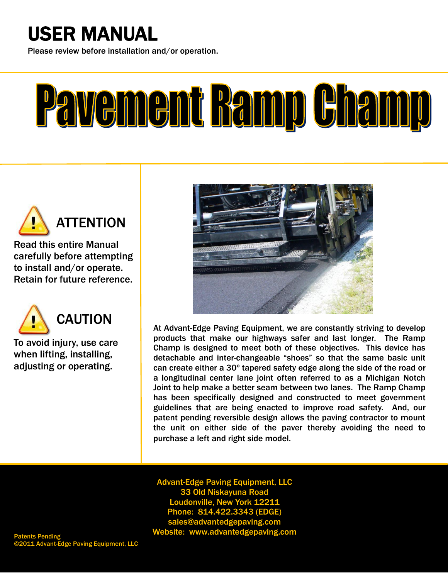## USER MANUAL

i<br>I Please review before installation and/or operation.

# $\overline{a}$ Pavement Bamp Champ



Ī

Read this entire Manual carefully before attempting to install and/or operate.<br>Potain for future reference Retain for future reference.



To avoid injury, use care<br>when lifting, installing mion mang, motaning,<br>adjusting or operating. when lifting, installing,

I



At Advant-Edge Paving Equipment, we are constantly striving to develop products that make our highways safer and last longer. The Ramp Champ is designed to meet both of these objectives. This device has detachable and inter-changeable "shoes" so that the same basic unit can create either a 30º tapered safety edge along the side of the road or a longitudinal center lane joint often referred to as a Michigan Notch Joint to help make a better seam between two lanes. The Ramp Champ has been specifically designed and constructed to meet government guidelines that are being enacted to improve road safety. And, our patent pending reversible design allows the paving contractor to mount the unit on either side of the paver thereby avoiding the need to purchase a left and right side model.

**33 Old Niskayuna Road<br>Idonyille New York 122** Advant-Edge Paving Equipment, LLC Loudonville, New York 12211 Phone: 814.422.3343 (EDGE) sales@advantedgepaving.com Website: www.advantedgepaving.com

ge Paving Equipment, LLC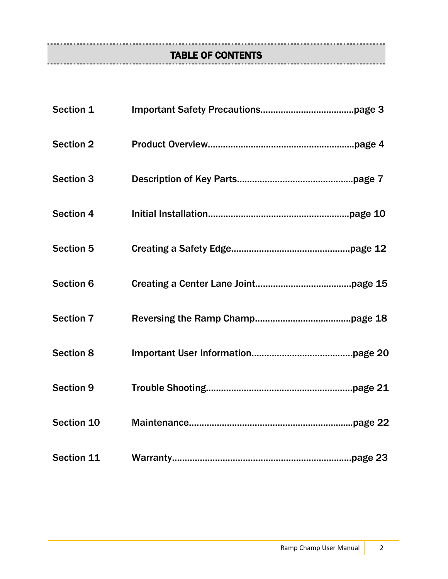## TABLE OF CONTENTS

| Section 1        |  |
|------------------|--|
| <b>Section 2</b> |  |
| <b>Section 3</b> |  |
| <b>Section 4</b> |  |
| Section 5        |  |
| <b>Section 6</b> |  |
| <b>Section 7</b> |  |
| <b>Section 8</b> |  |
| <b>Section 9</b> |  |
| Section 10       |  |
| Section 11       |  |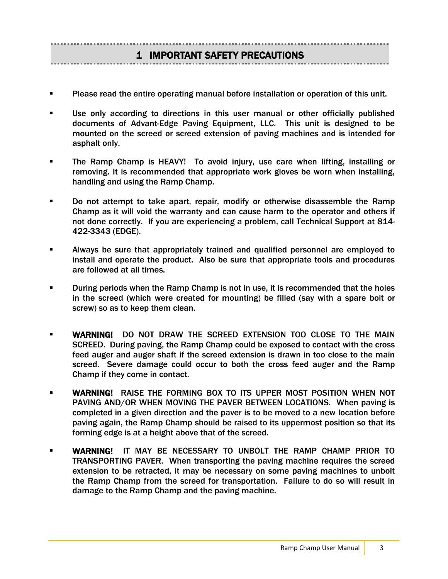### 1 IMPORTANT SAFETY PRECAUTIONS

- Please read the entire operating manual before installation or operation of this unit.
- Use only according to directions in this user manual or other officially published documents of Advant-Edge Paving Equipment, LLC. This unit is designed to be mounted on the screed or screed extension of paving machines and is intended for asphalt only.
- The Ramp Champ is HEAVY! To avoid injury, use care when lifting, installing or removing. It is recommended that appropriate work gloves be worn when installing, handling and using the Ramp Champ.
- Do not attempt to take apart, repair, modify or otherwise disassemble the Ramp Champ as it will void the warranty and can cause harm to the operator and others if not done correctly. If you are experiencing a problem, call Technical Support at 814- 422-3343 (EDGE).
- Always be sure that appropriately trained and qualified personnel are employed to install and operate the product. Also be sure that appropriate tools and procedures are followed at all times.
- During periods when the Ramp Champ is not in use, it is recommended that the holes in the screed (which were created for mounting) be filled (say with a spare bolt or screw) so as to keep them clean.
- WARNING! DO NOT DRAW THE SCREED EXTENSION TOO CLOSE TO THE MAIN SCREED. During paving, the Ramp Champ could be exposed to contact with the cross feed auger and auger shaft if the screed extension is drawn in too close to the main screed. Severe damage could occur to both the cross feed auger and the Ramp Champ if they come in contact.
- WARNING! RAISE THE FORMING BOX TO ITS UPPER MOST POSITION WHEN NOT PAVING AND/OR WHEN MOVING THE PAVER BETWEEN LOCATIONS. When paving is completed in a given direction and the paver is to be moved to a new location before paving again, the Ramp Champ should be raised to its uppermost position so that its forming edge is at a height above that of the screed.
- WARNING! IT MAY BE NECESSARY TO UNBOLT THE RAMP CHAMP PRIOR TO TRANSPORTING PAVER. When transporting the paving machine requires the screed extension to be retracted, it may be necessary on some paving machines to unbolt the Ramp Champ from the screed for transportation. Failure to do so will result in damage to the Ramp Champ and the paving machine.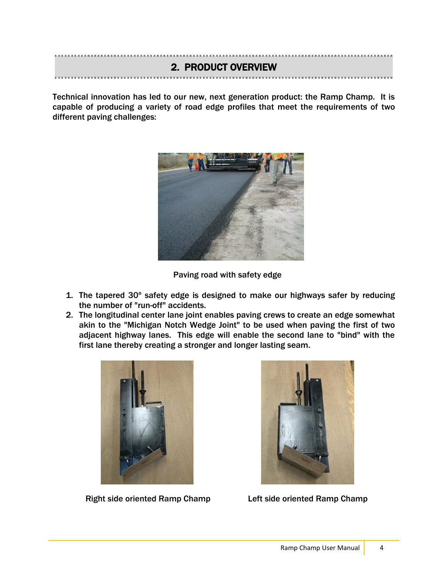## 2. PRODUCT OVERVIEW

Technical innovation has led to our new, next generation product: the Ramp Champ. It is capable of producing a variety of road edge profiles that meet the requirements of two different paving challenges:



Paving road with safety edge

- 1. The tapered 30º safety edge is designed to make our highways safer by reducing the number of "run-off" accidents.
- 2. The longitudinal center lane joint enables paving crews to create an edge somewhat akin to the "Michigan Notch Wedge Joint" to be used when paving the first of two adjacent highway lanes. This edge will enable the second lane to "bind" with the first lane thereby creating a stronger and longer lasting seam.



Right side oriented Ramp Champ Left side oriented Ramp Champ

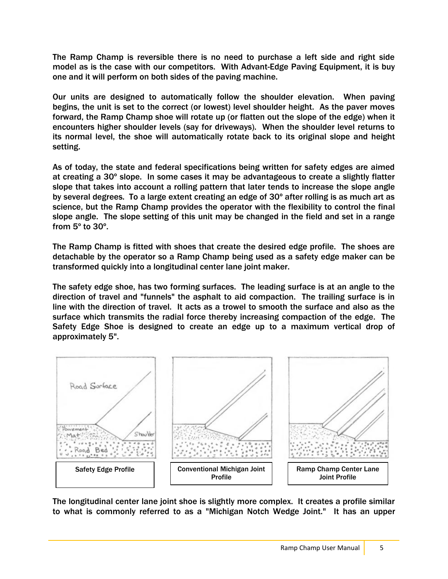The Ramp Champ is reversible there is no need to purchase a left side and right side model as is the case with our competitors. With Advant-Edge Paving Equipment, it is buy one and it will perform on both sides of the paving machine.

Our units are designed to automatically follow the shoulder elevation. When paving begins, the unit is set to the correct (or lowest) level shoulder height. As the paver moves forward, the Ramp Champ shoe will rotate up (or flatten out the slope of the edge) when it encounters higher shoulder levels (say for driveways). When the shoulder level returns to its normal level, the shoe will automatically rotate back to its original slope and height setting.

As of today, the state and federal specifications being written for safety edges are aimed at creating a 30º slope. In some cases it may be advantageous to create a slightly flatter slope that takes into account a rolling pattern that later tends to increase the slope angle by several degrees. To a large extent creating an edge of 30º after rolling is as much art as science, but the Ramp Champ provides the operator with the flexibility to control the final slope angle. The slope setting of this unit may be changed in the field and set in a range from 5º to 30º.

The Ramp Champ is fitted with shoes that create the desired edge profile. The shoes are detachable by the operator so a Ramp Champ being used as a safety edge maker can be transformed quickly into a longitudinal center lane joint maker.

The safety edge shoe, has two forming surfaces. The leading surface is at an angle to the direction of travel and "funnels" the asphalt to aid compaction. The trailing surface is in line with the direction of travel. It acts as a trowel to smooth the surface and also as the surface which transmits the radial force thereby increasing compaction of the edge. The Safety Edge Shoe is designed to create an edge up to a maximum vertical drop of approximately 5".



The longitudinal center lane joint shoe is slightly more complex. It creates a profile similar to what is commonly referred to as a "Michigan Notch Wedge Joint." It has an upper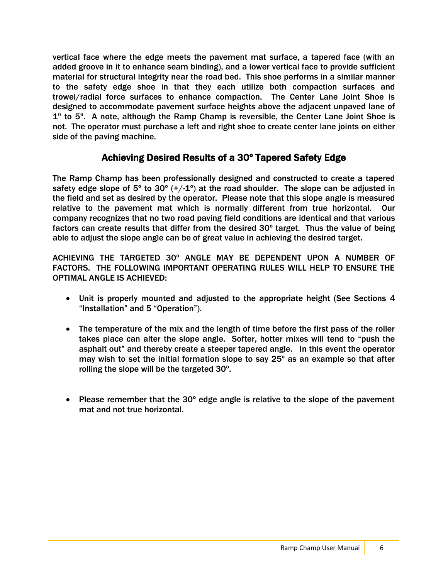vertical face where the edge meets the pavement mat surface, a tapered face (with an added groove in it to enhance seam binding), and a lower vertical face to provide sufficient material for structural integrity near the road bed. This shoe performs in a similar manner to the safety edge shoe in that they each utilize both compaction surfaces and trowel/radial force surfaces to enhance compaction. The Center Lane Joint Shoe is designed to accommodate pavement surface heights above the adjacent unpaved lane of 1" to 5". A note, although the Ramp Champ is reversible, the Center Lane Joint Shoe is not. The operator must purchase a left and right shoe to create center lane joints on either side of the paving machine.

### Achieving Desired Results of a 30º Tapered Safety Edge

The Ramp Champ has been professionally designed and constructed to create a tapered safety edge slope of  $5^{\circ}$  to  $30^{\circ}$  (+/-1°) at the road shoulder. The slope can be adjusted in the field and set as desired by the operator. Please note that this slope angle is measured relative to the pavement mat which is normally different from true horizontal. Our company recognizes that no two road paving field conditions are identical and that various factors can create results that differ from the desired 30º target. Thus the value of being able to adjust the slope angle can be of great value in achieving the desired target.

ACHIEVING THE TARGETED 30º ANGLE MAY BE DEPENDENT UPON A NUMBER OF FACTORS. THE FOLLOWING IMPORTANT OPERATING RULES WILL HELP TO ENSURE THE OPTIMAL ANGLE IS ACHIEVED:

- Unit is properly mounted and adjusted to the appropriate height (See Sections 4 "Installation" and 5 "Operation").
- The temperature of the mix and the length of time before the first pass of the roller takes place can alter the slope angle. Softer, hotter mixes will tend to "push the asphalt out" and thereby create a steeper tapered angle. In this event the operator may wish to set the initial formation slope to say 25º as an example so that after rolling the slope will be the targeted 30º.
- Please remember that the 30º edge angle is relative to the slope of the pavement mat and not true horizontal.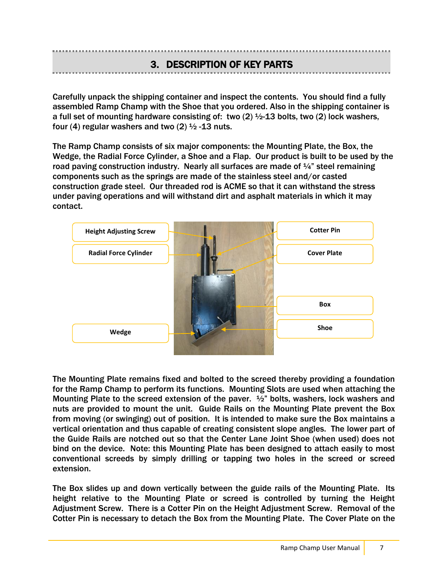### 3. DESCRIPTION OF KEY PARTS

Carefully unpack the shipping container and inspect the contents. You should find a fully assembled Ramp Champ with the Shoe that you ordered. Also in the shipping container is a full set of mounting hardware consisting of: two  $(2)$  1/2-13 bolts, two  $(2)$  lock washers, four (4) regular washers and two (2)  $\frac{1}{2}$  -13 nuts.

The Ramp Champ consists of six major components: the Mounting Plate, the Box, the Wedge, the Radial Force Cylinder, a Shoe and a Flap. Our product is built to be used by the road paving construction industry. Nearly all surfaces are made of  $\frac{1}{4}$  steel remaining components such as the springs are made of the stainless steel and/or casted construction grade steel. Our threaded rod is ACME so that it can withstand the stress under paving operations and will withstand dirt and asphalt materials in which it may contact.



The Mounting Plate remains fixed and bolted to the screed thereby providing a foundation for the Ramp Champ to perform its functions. Mounting Slots are used when attaching the Mounting Plate to the screed extension of the paver. ½" bolts, washers, lock washers and nuts are provided to mount the unit. Guide Rails on the Mounting Plate prevent the Box from moving (or swinging) out of position. It is intended to make sure the Box maintains a vertical orientation and thus capable of creating consistent slope angles. The lower part of the Guide Rails are notched out so that the Center Lane Joint Shoe (when used) does not bind on the device. Note: this Mounting Plate has been designed to attach easily to most conventional screeds by simply drilling or tapping two holes in the screed or screed extension.

The Box slides up and down vertically between the guide rails of the Mounting Plate. Its height relative to the Mounting Plate or screed is controlled by turning the Height Adjustment Screw. There is a Cotter Pin on the Height Adjustment Screw. Removal of the Cotter Pin is necessary to detach the Box from the Mounting Plate. The Cover Plate on the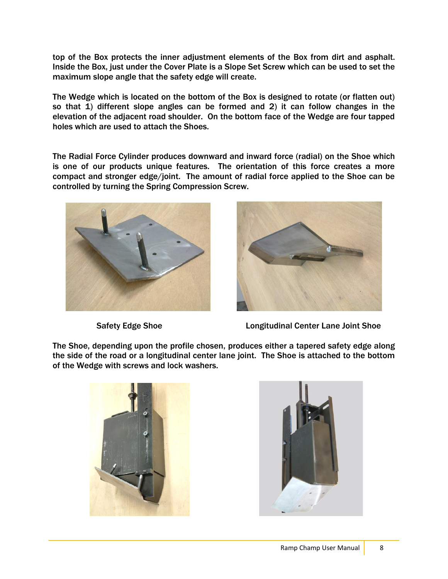top of the Box protects the inner adjustment elements of the Box from dirt and asphalt. Inside the Box, just under the Cover Plate is a Slope Set Screw which can be used to set the maximum slope angle that the safety edge will create.

The Wedge which is located on the bottom of the Box is designed to rotate (or flatten out) so that 1) different slope angles can be formed and 2) it can follow changes in the elevation of the adjacent road shoulder. On the bottom face of the Wedge are four tapped holes which are used to attach the Shoes.

The Radial Force Cylinder produces downward and inward force (radial) on the Shoe which is one of our products unique features. The orientation of this force creates a more compact and stronger edge/joint. The amount of radial force applied to the Shoe can be controlled by turning the Spring Compression Screw.





Safety Edge Shoe **Longitudinal Center Lane Joint Shoe** 

The Shoe, depending upon the profile chosen, produces either a tapered safety edge along the side of the road or a longitudinal center lane joint. The Shoe is attached to the bottom of the Wedge with screws and lock washers.



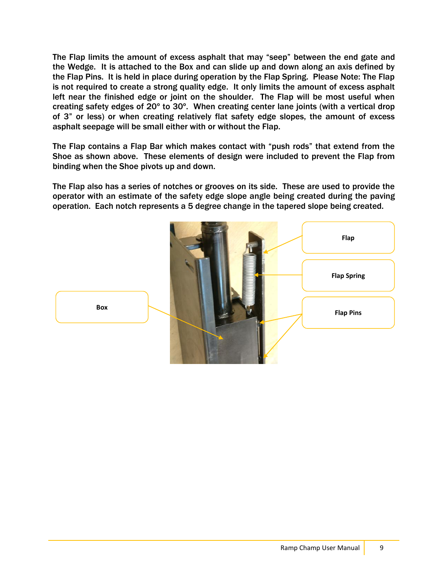The Flap limits the amount of excess asphalt that may "seep" between the end gate and the Wedge. It is attached to the Box and can slide up and down along an axis defined by the Flap Pins. It is held in place during operation by the Flap Spring. Please Note: The Flap is not required to create a strong quality edge. It only limits the amount of excess asphalt left near the finished edge or joint on the shoulder. The Flap will be most useful when creating safety edges of 20º to 30º. When creating center lane joints (with a vertical drop of 3" or less) or when creating relatively flat safety edge slopes, the amount of excess asphalt seepage will be small either with or without the Flap.

The Flap contains a Flap Bar which makes contact with "push rods" that extend from the Shoe as shown above. These elements of design were included to prevent the Flap from binding when the Shoe pivots up and down.

The Flap also has a series of notches or grooves on its side. These are used to provide the operator with an estimate of the safety edge slope angle being created during the paving operation. Each notch represents a 5 degree change in the tapered slope being created.



**Box**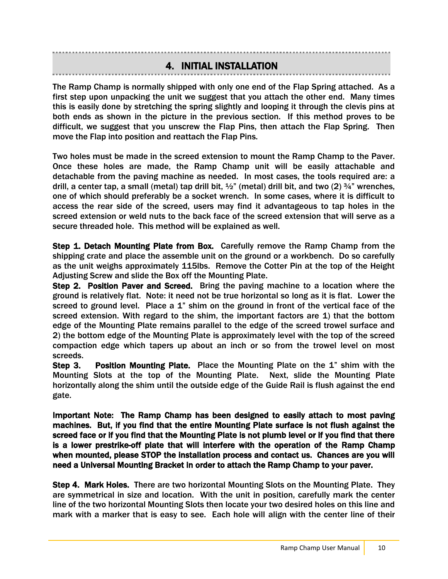### 4. INITIAL INSTALLATION

The Ramp Champ is normally shipped with only one end of the Flap Spring attached. As a first step upon unpacking the unit we suggest that you attach the other end. Many times this is easily done by stretching the spring slightly and looping it through the clevis pins at both ends as shown in the picture in the previous section. If this method proves to be difficult, we suggest that you unscrew the Flap Pins, then attach the Flap Spring. Then move the Flap into position and reattach the Flap Pins.

Two holes must be made in the screed extension to mount the Ramp Champ to the Paver. Once these holes are made, the Ramp Champ unit will be easily attachable and detachable from the paving machine as needed. In most cases, the tools required are: a drill, a center tap, a small (metal) tap drill bit,  $\frac{1}{2}$ " (metal) drill bit, and two (2)  $\frac{3}{4}$ " wrenches, one of which should preferably be a socket wrench. In some cases, where it is difficult to access the rear side of the screed, users may find it advantageous to tap holes in the screed extension or weld nuts to the back face of the screed extension that will serve as a secure threaded hole. This method will be explained as well.

Step 1. Detach Mounting Plate from Box. Carefully remove the Ramp Champ from the shipping crate and place the assemble unit on the ground or a workbench. Do so carefully as the unit weighs approximately 115lbs. Remove the Cotter Pin at the top of the Height Adjusting Screw and slide the Box off the Mounting Plate.

Step 2. Position Paver and Screed. Bring the paving machine to a location where the ground is relatively flat. Note: it need not be true horizontal so long as it is flat. Lower the screed to ground level. Place a 1" shim on the ground in front of the vertical face of the screed extension. With regard to the shim, the important factors are 1) that the bottom edge of the Mounting Plate remains parallel to the edge of the screed trowel surface and 2) the bottom edge of the Mounting Plate is approximately level with the top of the screed compaction edge which tapers up about an inch or so from the trowel level on most screeds.

Step 3. Position Mounting Plate. Place the Mounting Plate on the 1" shim with the Mounting Slots at the top of the Mounting Plate. Next, slide the Mounting Plate horizontally along the shim until the outside edge of the Guide Rail is flush against the end gate.

Important Note: The Ramp Champ has been designed to easily attach to most paving machines. But, if you find that the entire Mounting Plate surface is not flush against the screed face or if you find that the Mounting Plate is not plumb level or if you find that there is a lower prestrike-off plate that will interfere with the operation of the Ramp Champ when mounted, please STOP the installation process and contact us. Chances are you will need a Universal Mounting Bracket in order to attach the Ramp Champ to your paver.

Step 4. Mark Holes. There are two horizontal Mounting Slots on the Mounting Plate. They are symmetrical in size and location. With the unit in position, carefully mark the center line of the two horizontal Mounting Slots then locate your two desired holes on this line and mark with a marker that is easy to see. Each hole will align with the center line of their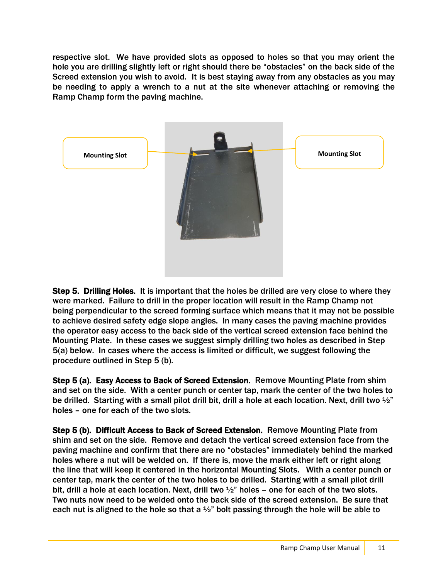respective slot. We have provided slots as opposed to holes so that you may orient the hole you are drilling slightly left or right should there be "obstacles" on the back side of the Screed extension you wish to avoid. It is best staying away from any obstacles as you may be needing to apply a wrench to a nut at the site whenever attaching or removing the Ramp Champ form the paving machine.



Step 5. Drilling Holes. It is important that the holes be drilled are very close to where they were marked. Failure to drill in the proper location will result in the Ramp Champ not being perpendicular to the screed forming surface which means that it may not be possible to achieve desired safety edge slope angles. In many cases the paving machine provides the operator easy access to the back side of the vertical screed extension face behind the Mounting Plate. In these cases we suggest simply drilling two holes as described in Step 5(a) below. In cases where the access is limited or difficult, we suggest following the procedure outlined in Step 5 (b).

Step 5 (a). Easy Access to Back of Screed Extension. Remove Mounting Plate from shim and set on the side. With a center punch or center tap, mark the center of the two holes to be drilled. Starting with a small pilot drill bit, drill a hole at each location. Next, drill two 1/2" holes – one for each of the two slots.

Step 5 (b). Difficult Access to Back of Screed Extension. Remove Mounting Plate from shim and set on the side. Remove and detach the vertical screed extension face from the paving machine and confirm that there are no "obstacles" immediately behind the marked holes where a nut will be welded on. If there is, move the mark either left or right along the line that will keep it centered in the horizontal Mounting Slots. With a center punch or center tap, mark the center of the two holes to be drilled. Starting with a small pilot drill bit, drill a hole at each location. Next, drill two  $\frac{1}{2}$ " holes – one for each of the two slots. Two nuts now need to be welded onto the back side of the screed extension. Be sure that each nut is aligned to the hole so that a  $\frac{1}{2}$ " bolt passing through the hole will be able to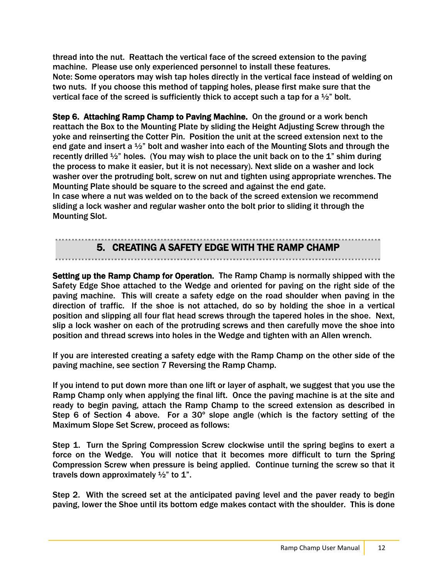thread into the nut. Reattach the vertical face of the screed extension to the paving machine. Please use only experienced personnel to install these features. Note: Some operators may wish tap holes directly in the vertical face instead of welding on two nuts. If you choose this method of tapping holes, please first make sure that the vertical face of the screed is sufficiently thick to accept such a tap for a  $\frac{1}{2}$  bolt.

Step 6. Attaching Ramp Champ to Paving Machine. On the ground or a work bench reattach the Box to the Mounting Plate by sliding the Height Adjusting Screw through the yoke and reinserting the Cotter Pin. Position the unit at the screed extension next to the end gate and insert a  $\frac{1}{2}$ " bolt and washer into each of the Mounting Slots and through the recently drilled  $\frac{1}{2}$ " holes. (You may wish to place the unit back on to the 1" shim during the process to make it easier, but it is not necessary). Next slide on a washer and lock washer over the protruding bolt, screw on nut and tighten using appropriate wrenches. The Mounting Plate should be square to the screed and against the end gate. In case where a nut was welded on to the back of the screed extension we recommend

sliding a lock washer and regular washer onto the bolt prior to sliding it through the Mounting Slot.

### 5. CREATING A SAFETY EDGE WITH THE RAMP CHAMP

### Setting up the Ramp Champ for Operation. The Ramp Champ is normally shipped with the Safety Edge Shoe attached to the Wedge and oriented for paving on the right side of the paving machine. This will create a safety edge on the road shoulder when paving in the direction of traffic. If the shoe is not attached, do so by holding the shoe in a vertical position and slipping all four flat head screws through the tapered holes in the shoe. Next, slip a lock washer on each of the protruding screws and then carefully move the shoe into position and thread screws into holes in the Wedge and tighten with an Allen wrench.

If you are interested creating a safety edge with the Ramp Champ on the other side of the paving machine, see section 7 Reversing the Ramp Champ.

If you intend to put down more than one lift or layer of asphalt, we suggest that you use the Ramp Champ only when applying the final lift. Once the paving machine is at the site and ready to begin paving, attach the Ramp Champ to the screed extension as described in Step 6 of Section 4 above. For a 30º slope angle (which is the factory setting of the Maximum Slope Set Screw, proceed as follows:

Step 1. Turn the Spring Compression Screw clockwise until the spring begins to exert a force on the Wedge. You will notice that it becomes more difficult to turn the Spring Compression Screw when pressure is being applied. Continue turning the screw so that it travels down approximately  $\frac{1}{2}$  to 1".

Step 2. With the screed set at the anticipated paving level and the paver ready to begin paving, lower the Shoe until its bottom edge makes contact with the shoulder. This is done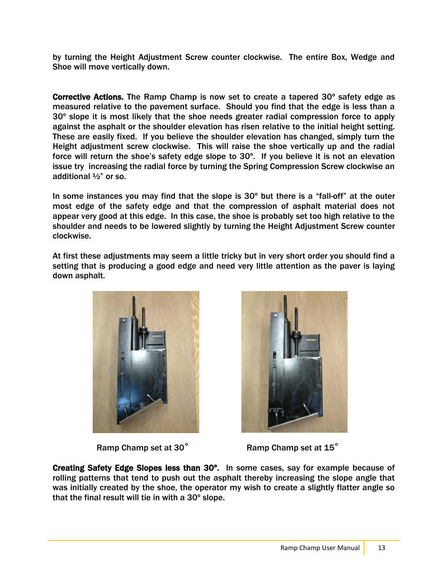by turning the Height Adjustment Screw counter clockwise. The entire Box, Wedge and Shoe will move vertically down.

Corrective Actions. The Ramp Champ is now set to create a tapered 30º safety edge as measured relative to the pavement surface. Should you find that the edge is less than a 30º slope it is most likely that the shoe needs greater radial compression force to apply against the asphalt or the shoulder elevation has risen relative to the initial height setting. These are easily fixed. If you believe the shoulder elevation has changed, simply turn the Height adjustment screw clockwise. This will raise the shoe vertically up and the radial force will return the shoe's safety edge slope to 30º. If you believe it is not an elevation issue try increasing the radial force by turning the Spring Compression Screw clockwise an additional ½" or so.

In some instances you may find that the slope is  $30^{\circ}$  but there is a "fall-off" at the outer most edge of the safety edge and that the compression of asphalt material does not appear very good at this edge. In this case, the shoe is probably set too high relative to the shoulder and needs to be lowered slightly by turning the Height Adjustment Screw counter clockwise.

At first these adjustments may seem a little tricky but in very short order you should find a setting that is producing a good edge and need very little attention as the paver is laying down asphalt.





Ramp Champ set at 30 $^{\circ}$  Ramp Champ set at 15 $^{\circ}$ 

Creating Safety Edge Slopes less than 30º. In some cases, say for example because of rolling patterns that tend to push out the asphalt thereby increasing the slope angle that was initially created by the shoe, the operator my wish to create a slightly flatter angle so that the final result will tie in with a 30º slope.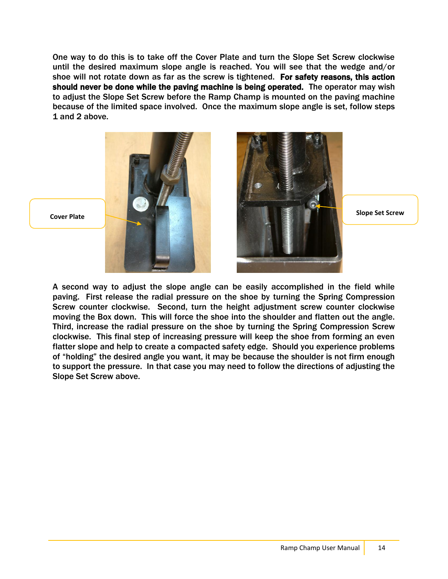One way to do this is to take off the Cover Plate and turn the Slope Set Screw clockwise until the desired maximum slope angle is reached. You will see that the wedge and/or shoe will not rotate down as far as the screw is tightened. For safety reasons, this action should never be done while the paving machine is being operated. The operator may wish to adjust the Slope Set Screw before the Ramp Champ is mounted on the paving machine because of the limited space involved. Once the maximum slope angle is set, follow steps 1 and 2 above.



A second way to adjust the slope angle can be easily accomplished in the field while paving. First release the radial pressure on the shoe by turning the Spring Compression Screw counter clockwise. Second, turn the height adjustment screw counter clockwise moving the Box down. This will force the shoe into the shoulder and flatten out the angle. Third, increase the radial pressure on the shoe by turning the Spring Compression Screw clockwise. This final step of increasing pressure will keep the shoe from forming an even flatter slope and help to create a compacted safety edge. Should you experience problems of "holding" the desired angle you want, it may be because the shoulder is not firm enough to support the pressure. In that case you may need to follow the directions of adjusting the Slope Set Screw above.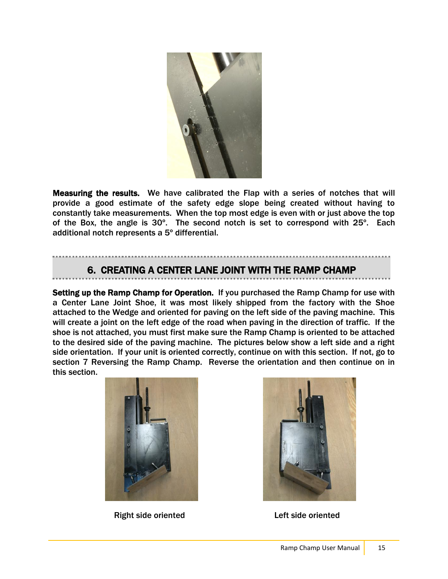

Measuring the results. We have calibrated the Flap with a series of notches that will provide a good estimate of the safety edge slope being created without having to constantly take measurements. When the top most edge is even with or just above the top of the Box, the angle is 30º. The second notch is set to correspond with 25º. Each additional notch represents a 5º differential.

### 6. CREATING A CENTER LANE JOINT WITH THE RAMP CHAMP

Setting up the Ramp Champ for Operation. If you purchased the Ramp Champ for use with a Center Lane Joint Shoe, it was most likely shipped from the factory with the Shoe attached to the Wedge and oriented for paving on the left side of the paving machine. This will create a joint on the left edge of the road when paving in the direction of traffic. If the shoe is not attached, you must first make sure the Ramp Champ is oriented to be attached to the desired side of the paving machine. The pictures below show a left side and a right side orientation. If your unit is oriented correctly, continue on with this section. If not, go to section 7 Reversing the Ramp Champ. Reverse the orientation and then continue on in this section.



Right side oriented Left side oriented

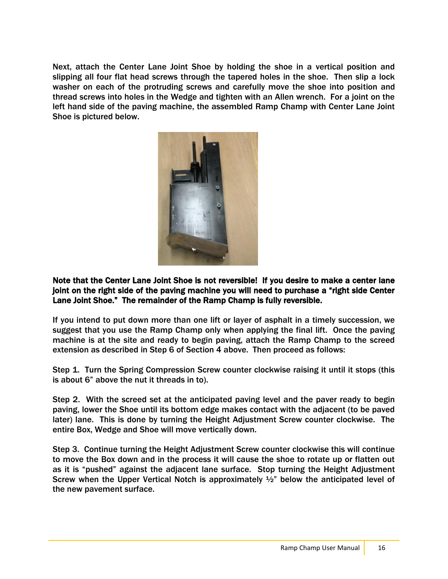Next, attach the Center Lane Joint Shoe by holding the shoe in a vertical position and slipping all four flat head screws through the tapered holes in the shoe. Then slip a lock washer on each of the protruding screws and carefully move the shoe into position and thread screws into holes in the Wedge and tighten with an Allen wrench. For a joint on the left hand side of the paving machine, the assembled Ramp Champ with Center Lane Joint Shoe is pictured below.



Note that the Center Lane Joint Shoe is not reversible! If you desire to make a center lane joint on the right side of the paving machine you will need to purchase a "right side Center Lane Joint Shoe." The remainder of the Ramp Champ is fully reversible.

If you intend to put down more than one lift or layer of asphalt in a timely succession, we suggest that you use the Ramp Champ only when applying the final lift. Once the paving machine is at the site and ready to begin paving, attach the Ramp Champ to the screed extension as described in Step 6 of Section 4 above. Then proceed as follows:

Step 1. Turn the Spring Compression Screw counter clockwise raising it until it stops (this is about 6" above the nut it threads in to).

Step 2. With the screed set at the anticipated paving level and the paver ready to begin paving, lower the Shoe until its bottom edge makes contact with the adjacent (to be paved later) lane. This is done by turning the Height Adjustment Screw counter clockwise. The entire Box, Wedge and Shoe will move vertically down.

Step 3. Continue turning the Height Adjustment Screw counter clockwise this will continue to move the Box down and in the process it will cause the shoe to rotate up or flatten out as it is "pushed" against the adjacent lane surface. Stop turning the Height Adjustment Screw when the Upper Vertical Notch is approximately  $\frac{1}{2}$  below the anticipated level of the new pavement surface.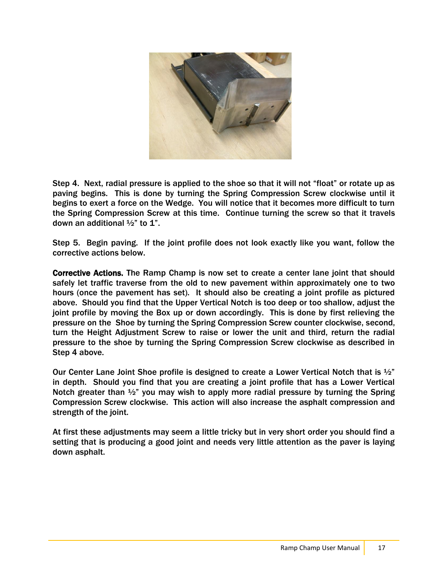

Step 4. Next, radial pressure is applied to the shoe so that it will not "float" or rotate up as paving begins. This is done by turning the Spring Compression Screw clockwise until it begins to exert a force on the Wedge. You will notice that it becomes more difficult to turn the Spring Compression Screw at this time. Continue turning the screw so that it travels down an additional  $\frac{1}{2}$ " to 1".

Step 5. Begin paving. If the joint profile does not look exactly like you want, follow the corrective actions below.

Corrective Actions. The Ramp Champ is now set to create a center lane joint that should safely let traffic traverse from the old to new pavement within approximately one to two hours (once the pavement has set). It should also be creating a joint profile as pictured above. Should you find that the Upper Vertical Notch is too deep or too shallow, adjust the joint profile by moving the Box up or down accordingly. This is done by first relieving the pressure on the Shoe by turning the Spring Compression Screw counter clockwise, second, turn the Height Adjustment Screw to raise or lower the unit and third, return the radial pressure to the shoe by turning the Spring Compression Screw clockwise as described in Step 4 above.

Our Center Lane Joint Shoe profile is designed to create a Lower Vertical Notch that is  $\frac{1}{2}$ " in depth. Should you find that you are creating a joint profile that has a Lower Vertical Notch greater than  $\frac{1}{2}$  you may wish to apply more radial pressure by turning the Spring Compression Screw clockwise. This action will also increase the asphalt compression and strength of the joint.

At first these adjustments may seem a little tricky but in very short order you should find a setting that is producing a good joint and needs very little attention as the paver is laying down asphalt.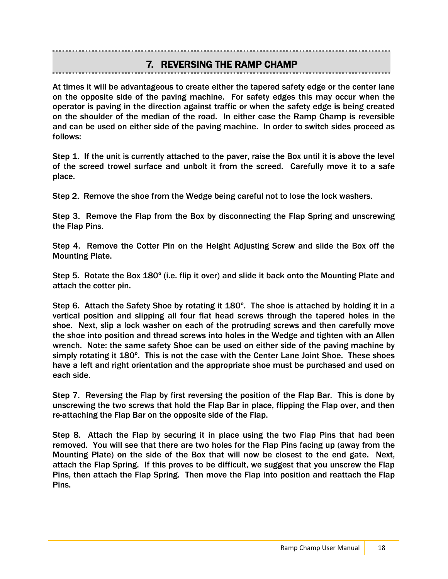### 7. REVERSING THE RAMP CHAMP

At times it will be advantageous to create either the tapered safety edge or the center lane on the opposite side of the paving machine. For safety edges this may occur when the operator is paving in the direction against traffic or when the safety edge is being created on the shoulder of the median of the road. In either case the Ramp Champ is reversible and can be used on either side of the paving machine. In order to switch sides proceed as follows:

Step 1. If the unit is currently attached to the paver, raise the Box until it is above the level of the screed trowel surface and unbolt it from the screed. Carefully move it to a safe place.

Step 2. Remove the shoe from the Wedge being careful not to lose the lock washers.

Step 3. Remove the Flap from the Box by disconnecting the Flap Spring and unscrewing the Flap Pins.

Step 4. Remove the Cotter Pin on the Height Adjusting Screw and slide the Box off the Mounting Plate.

Step 5. Rotate the Box 180º (i.e. flip it over) and slide it back onto the Mounting Plate and attach the cotter pin.

Step 6. Attach the Safety Shoe by rotating it 180º. The shoe is attached by holding it in a vertical position and slipping all four flat head screws through the tapered holes in the shoe. Next, slip a lock washer on each of the protruding screws and then carefully move the shoe into position and thread screws into holes in the Wedge and tighten with an Allen wrench. Note: the same safety Shoe can be used on either side of the paving machine by simply rotating it 180º. This is not the case with the Center Lane Joint Shoe. These shoes have a left and right orientation and the appropriate shoe must be purchased and used on each side.

Step 7. Reversing the Flap by first reversing the position of the Flap Bar. This is done by unscrewing the two screws that hold the Flap Bar in place, flipping the Flap over, and then re-attaching the Flap Bar on the opposite side of the Flap.

Step 8. Attach the Flap by securing it in place using the two Flap Pins that had been removed. You will see that there are two holes for the Flap Pins facing up (away from the Mounting Plate) on the side of the Box that will now be closest to the end gate. Next, attach the Flap Spring. If this proves to be difficult, we suggest that you unscrew the Flap Pins, then attach the Flap Spring. Then move the Flap into position and reattach the Flap Pins.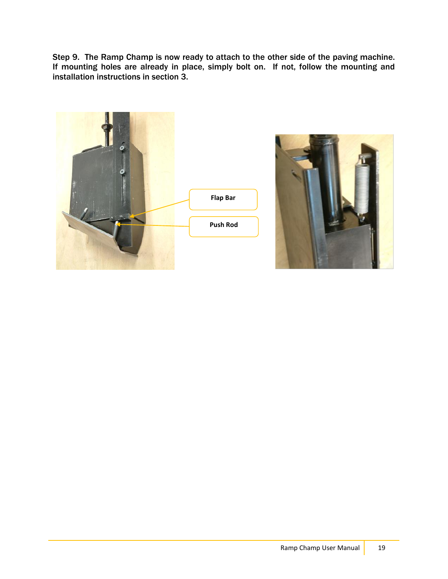Step 9. The Ramp Champ is now ready to attach to the other side of the paving machine. If mounting holes are already in place, simply bolt on. If not, follow the mounting and installation instructions in section 3.



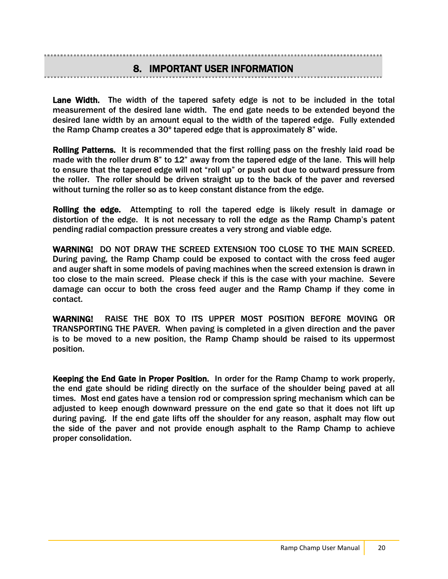Í

í

Lane Width. The width of the tapered safety edge is not to be included in the total measurement of the desired lane width. The end gate needs to be extended beyond the desired lane width by an amount equal to the width of the tapered edge. Fully extended the Ramp Champ creates a 30º tapered edge that is approximately 8" wide.

Rolling Patterns. It is recommended that the first rolling pass on the freshly laid road be made with the roller drum 8" to 12" away from the tapered edge of the lane. This will help to ensure that the tapered edge will not "roll up" or push out due to outward pressure from the roller. The roller should be driven straight up to the back of the paver and reversed without turning the roller so as to keep constant distance from the edge.

Rolling the edge. Attempting to roll the tapered edge is likely result in damage or distortion of the edge. It is not necessary to roll the edge as the Ramp Champ's patent pending radial compaction pressure creates a very strong and viable edge.

WARNING! DO NOT DRAW THE SCREED EXTENSION TOO CLOSE TO THE MAIN SCREED. During paving, the Ramp Champ could be exposed to contact with the cross feed auger and auger shaft in some models of paving machines when the screed extension is drawn in too close to the main screed. Please check if this is the case with your machine. Severe damage can occur to both the cross feed auger and the Ramp Champ if they come in contact.

WARNING! RAISE THE BOX TO ITS UPPER MOST POSITION BEFORE MOVING OR TRANSPORTING THE PAVER. When paving is completed in a given direction and the paver is to be moved to a new position, the Ramp Champ should be raised to its uppermost position.

Keeping the End Gate in Proper Position. In order for the Ramp Champ to work properly, the end gate should be riding directly on the surface of the shoulder being paved at all times. Most end gates have a tension rod or compression spring mechanism which can be adjusted to keep enough downward pressure on the end gate so that it does not lift up during paving. If the end gate lifts off the shoulder for any reason, asphalt may flow out the side of the paver and not provide enough asphalt to the Ramp Champ to achieve proper consolidation.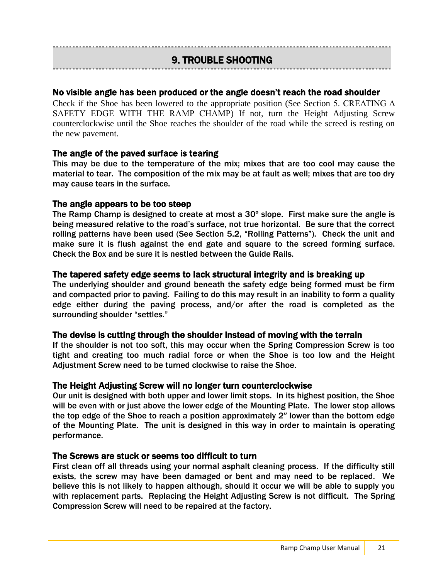### Ï 9. TROUBLE SHOOTING

### No visible angle has been produced or the angle doesn't reach the road shoulder

Check if the Shoe has been lowered to the appropriate position (See Section 5. CREATING A SAFETY EDGE WITH THE RAMP CHAMP) If not, turn the Height Adjusting Screw counterclockwise until the Shoe reaches the shoulder of the road while the screed is resting on the new pavement.

### The angle of the paved surface is tearing

This may be due to the temperature of the mix; mixes that are too cool may cause the material to tear. The composition of the mix may be at fault as well; mixes that are too dry may cause tears in the surface.

### The angle appears to be too steep

The Ramp Champ is designed to create at most a 30º slope. First make sure the angle is being measured relative to the road's surface, not true horizontal. Be sure that the correct rolling patterns have been used (See Section 5.2, "Rolling Patterns"). Check the unit and make sure it is flush against the end gate and square to the screed forming surface. Check the Box and be sure it is nestled between the Guide Rails.

### The tapered safety edge seems to lack structural integrity and is breaking up

The underlying shoulder and ground beneath the safety edge being formed must be firm and compacted prior to paving. Failing to do this may result in an inability to form a quality edge either during the paving process, and/or after the road is completed as the surrounding shoulder "settles."

### The devise is cutting through the shoulder instead of moving with the terrain

If the shoulder is not too soft, this may occur when the Spring Compression Screw is too tight and creating too much radial force or when the Shoe is too low and the Height Adjustment Screw need to be turned clockwise to raise the Shoe.

### The Height Adjusting Screw will no longer turn counterclockwise

Our unit is designed with both upper and lower limit stops. In its highest position, the Shoe will be even with or just above the lower edge of the Mounting Plate. The lower stop allows the top edge of the Shoe to reach a position approximately 2″ lower than the bottom edge of the Mounting Plate. The unit is designed in this way in order to maintain is operating performance.

### The Screws are stuck or seems too difficult to turn

First clean off all threads using your normal asphalt cleaning process. If the difficulty still exists, the screw may have been damaged or bent and may need to be replaced. We believe this is not likely to happen although, should it occur we will be able to supply you with replacement parts. Replacing the Height Adjusting Screw is not difficult. The Spring Compression Screw will need to be repaired at the factory.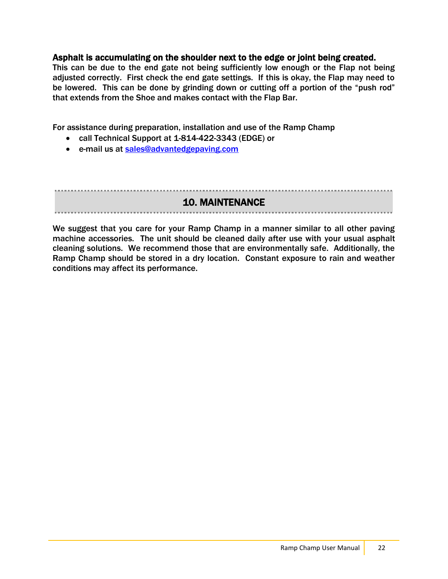### Asphalt is accumulating on the shoulder next to the edge or joint being created.

This can be due to the end gate not being sufficiently low enough or the Flap not being adjusted correctly. First check the end gate settings. If this is okay, the Flap may need to be lowered. This can be done by grinding down or cutting off a portion of the "push rod" that extends from the Shoe and makes contact with the Flap Bar.

For assistance during preparation, installation and use of the Ramp Champ

- call Technical Support at 1-814-422-3343 (EDGE) or
- e-mail us at [sales@advantedgepaving.com](mailto:sales@advantedgepaving.com)

10. MAINTENANCE

We suggest that you care for your Ramp Champ in a manner similar to all other paving machine accessories. The unit should be cleaned daily after use with your usual asphalt cleaning solutions. We recommend those that are environmentally safe. Additionally, the Ramp Champ should be stored in a dry location. Constant exposure to rain and weather conditions may affect its performance.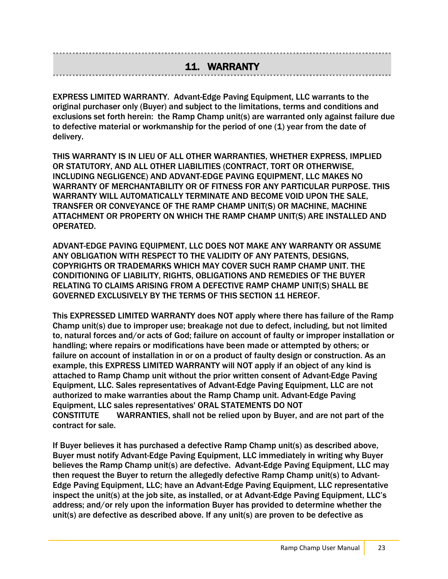## 11. WARRANTY

EXPRESS LIMITED WARRANTY. Advant-Edge Paving Equipment, LLC warrants to the original purchaser only (Buyer) and subject to the limitations, terms and conditions and exclusions set forth herein: the Ramp Champ unit(s) are warranted only against failure due to defective material or workmanship for the period of one (1) year from the date of delivery.

THIS WARRANTY IS IN LIEU OF ALL OTHER WARRANTIES, WHETHER EXPRESS, IMPLIED OR STATUTORY, AND ALL OTHER LIABILITIES (CONTRACT, TORT OR OTHERWISE, INCLUDING NEGLIGENCE) AND ADVANT-EDGE PAVING EQUIPMENT, LLC MAKES NO WARRANTY OF MERCHANTABILITY OR OF FITNESS FOR ANY PARTICULAR PURPOSE. THIS WARRANTY WILL AUTOMATICALLY TERMINATE AND BECOME VOID UPON THE SALE, TRANSFER OR CONVEYANCE OF THE RAMP CHAMP UNIT(S) OR MACHINE, MACHINE ATTACHMENT OR PROPERTY ON WHICH THE RAMP CHAMP UNIT(S) ARE INSTALLED AND OPERATED.

ADVANT-EDGE PAVING EQUIPMENT, LLC DOES NOT MAKE ANY WARRANTY OR ASSUME ANY OBLIGATION WITH RESPECT TO THE VALIDITY OF ANY PATENTS, DESIGNS, COPYRIGHTS OR TRADEMARKS WHICH MAY COVER SUCH RAMP CHAMP UNIT. THE CONDITIONING OF LIABILITY, RIGHTS, OBLIGATIONS AND REMEDIES OF THE BUYER RELATING TO CLAIMS ARISING FROM A DEFECTIVE RAMP CHAMP UNIT(S) SHALL BE GOVERNED EXCLUSIVELY BY THE TERMS OF THIS SECTION 11 HEREOF.

This EXPRESSED LIMITED WARRANTY does NOT apply where there has failure of the Ramp Champ unit(s) due to improper use; breakage not due to defect, including, but not limited to, natural forces and/or acts of God; failure on account of faulty or improper installation or handling; where repairs or modifications have been made or attempted by others; or failure on account of installation in or on a product of faulty design or construction. As an example, this EXPRESS LIMITED WARRANTY will NOT apply if an object of any kind is attached to Ramp Champ unit without the prior written consent of Advant-Edge Paving Equipment, LLC. Sales representatives of Advant-Edge Paving Equipment, LLC are not authorized to make warranties about the Ramp Champ unit. Advant-Edge Paving Equipment, LLC sales representatives' ORAL STATEMENTS DO NOT CONSTITUTE WARRANTIES, shall not be relied upon by Buyer, and are not part of the contract for sale.

If Buyer believes it has purchased a defective Ramp Champ unit(s) as described above, Buyer must notify Advant-Edge Paving Equipment, LLC immediately in writing why Buyer believes the Ramp Champ unit(s) are defective. Advant-Edge Paving Equipment, LLC may then request the Buyer to return the allegedly defective Ramp Champ unit(s) to Advant-Edge Paving Equipment, LLC; have an Advant-Edge Paving Equipment, LLC representative inspect the unit(s) at the job site, as installed, or at Advant-Edge Paving Equipment, LLC's address; and/or rely upon the information Buyer has provided to determine whether the unit(s) are defective as described above. If any unit(s) are proven to be defective as